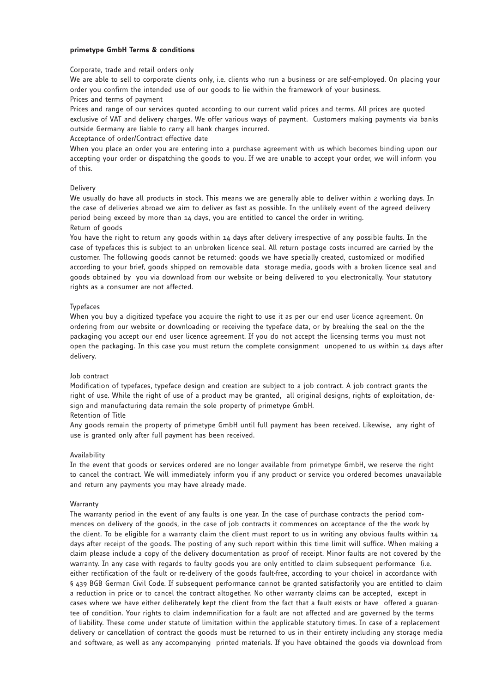### **primetype GmbH Terms & conditions**

### Corporate, trade and retail orders only

We are able to sell to corporate clients only, i.e. clients who run a business or are self-employed. On placing your order you confirm the intended use of our goods to lie within the framework of your business. Prices and terms of payment

Prices and range of our services quoted according to our current valid prices and terms. All prices are quoted exclusive of VAT and delivery charges. We offer various ways of payment. Customers making payments via banks outside Germany are liable to carry all bank charges incurred.

Acceptance of order/Contract effective date

When you place an order you are entering into a purchase agreement with us which becomes binding upon our accepting your order or dispatching the goods to you. If we are unable to accept your order, we will inform you of this.

# Delivery

We usually do have all products in stock. This means we are generally able to deliver within 2 working days. In the case of deliveries abroad we aim to deliver as fast as possible. In the unlikely event of the agreed delivery period being exceed by more than 14 days, you are entitled to cancel the order in writing.

# Return of goods

You have the right to return any goods within 14 days after delivery irrespective of any possible faults. In the case of typefaces this is subject to an unbroken licence seal. All return postage costs incurred are carried by the customer. The following goods cannot be returned: goods we have specially created, customized or modified according to your brief, goods shipped on removable data storage media, goods with a broken licence seal and goods obtained by you via download from our website or being delivered to you electronically. Your statutory rights as a consumer are not affected.

# Typefaces

When you buy a digitized typeface you acquire the right to use it as per our end user licence agreement. On ordering from our website or downloading or receiving the typeface data, or by breaking the seal on the the packaging you accept our end user licence agreement. If you do not accept the licensing terms you must not open the packaging. In this case you must return the complete consignment unopened to us within 14 days after delivery.

# Job contract

Modification of typefaces, typeface design and creation are subject to a job contract. A job contract grants the right of use. While the right of use of a product may be granted, all original designs, rights of exploitation, design and manufacturing data remain the sole property of primetype GmbH.

### Retention of Title

Any goods remain the property of primetype GmbH until full payment has been received. Likewise, any right of use is granted only after full payment has been received.

#### Availability

In the event that goods or services ordered are no longer available from primetype GmbH, we reserve the right to cancel the contract. We will immediately inform you if any product or service you ordered becomes unavailable and return any payments you may have already made.

#### Warranty

The warranty period in the event of any faults is one year. In the case of purchase contracts the period commences on delivery of the goods, in the case of job contracts it commences on acceptance of the the work by the client. To be eligible for a warranty claim the client must report to us in writing any obvious faults within 14 days after receipt of the goods. The posting of any such report within this time limit will suffice. When making a claim please include a copy of the delivery documentation as proof of receipt. Minor faults are not covered by the warranty. In any case with regards to faulty goods you are only entitled to claim subsequent performance (i.e. either rectification of the fault or re-delivery of the goods fault-free, according to your choice) in accordance with § 439 BGB German Civil Code. If subsequent performance cannot be granted satisfactorily you are entitled to claim a reduction in price or to cancel the contract altogether. No other warranty claims can be accepted, except in cases where we have either deliberately kept the client from the fact that a fault exists or have offered a guarantee of condition. Your rights to claim indemnification for a fault are not affected and are governed by the terms of liability. These come under statute of limitation within the applicable statutory times. In case of a replacement delivery or cancellation of contract the goods must be returned to us in their entirety including any storage media and software, as well as any accompanying printed materials. If you have obtained the goods via download from